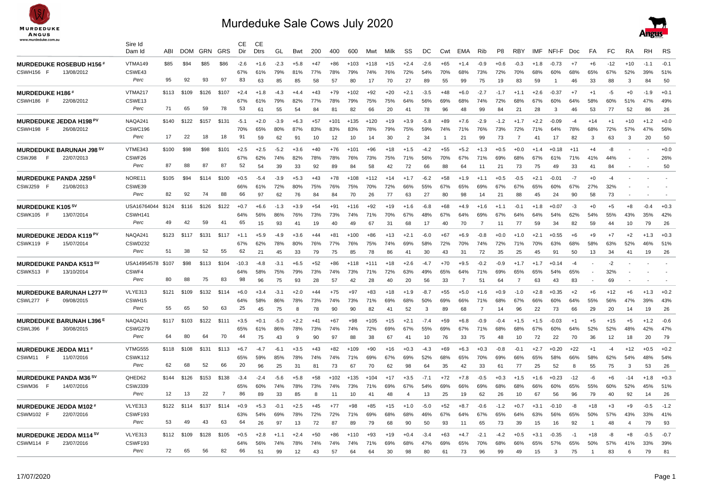

## Murdeduke Sale Cows July 2020



|                                 | Sire Id<br>Dam Id | ABI   | <b>DOM</b> |       | <b>GRN GRS</b> | CЕ<br>Dir | CЕ<br><b>Dtrs</b> | GL     | Bwt       | 200       | 400       | 600       | Mwt       | Milk  | SS             | DC     | Cwt       | EMA            | Rib            | P <sub>8</sub> | <b>RBY</b>     | <b>IMF</b> | NFI-F        | Doc       | FA        | FC        | <b>RA</b>      | <b>RH</b> | <b>RS</b>                |
|---------------------------------|-------------------|-------|------------|-------|----------------|-----------|-------------------|--------|-----------|-----------|-----------|-----------|-----------|-------|----------------|--------|-----------|----------------|----------------|----------------|----------------|------------|--------------|-----------|-----------|-----------|----------------|-----------|--------------------------|
| <b>MURDEDUKE ROSEBUD H156#</b>  | VTMA149           | \$85  | \$94       | \$85  | \$86           | $-2.6$    | $+1.6$            | $-2.3$ | $+5.8$    | $+47$     | $+86$     | $+103$    | $+118$    | $+15$ | $+2.4$         | $-2.6$ | $+65$     | $+1.4$         | $-0.9$         | $+0.6$         | $-0.3$         | $+1.8$     | $-0.73$      | $+7$      | $+6$      | $-12$     | $+10$          | $-1.1$    | $-0.1$                   |
| 13/08/2012<br>CSWH156 F         | CSWE43            |       |            |       |                | 67%       | 61%               | 79%    | 81%       | 77%       | 78%       | 79%       | 74%       | 76%   | 72%            | 54%    | 70%       | 68%            | 73%            | 72%            | 70%            | 68%        | 60%          | 68%       | 65%       | 67%       | 52%            | 39%       | 51%                      |
|                                 | Perc              | 95    | 92         | 93    | 97             | 83        | 63                | 85     | 85        | 58        | 57        | 80        | 17        | 70    | 27             | 89     | 55        | 99             | 75             | 19             | 83             | 59         | $\mathbf{1}$ | 46        | 33        | 88        | 3              | 84        | 50                       |
| <b>MURDEDUKE H186#</b>          | VTMA217           | \$113 | \$109      | \$126 | \$107          | $+2.4$    | $+1.8$            | -4.3   | $+4.4$    | $+43$     | $+79$     | $+102$    | $+92$     | $+20$ | $+2.1$         | $-3.5$ | $+48$     | $+6.0$         | $-2.7$         | $-1.7$         | $+1.1$         | +2.6       | $-0.37$      | $+7$      | $+1$      | -5        | $+0$           | $-1.9$    | $+0.1$                   |
| CSWH186<br>22/08/2012           | CSWE13            |       |            |       |                | 67%       | 61%               | 79%    | 82%       | 77%       | 78%       | 79%       | 75%       | 75%   | 64%            | 56%    | 69%       | 68%            | 74%            | 72%            | 68%            | 67%        | 60%          | 64%       | 58%       | 60%       | 51%            | 47%       | 49%                      |
|                                 | Perc              | 71    | 65         | 59    | 78             | 53        | 61                | 55     | 54        | 84        | 81        | 82        | 66        | 20    | 41             | 78     | 96        | 48             | 99             | 84             | 21             | 28         | 3            | 46        | 53        | 77        | 52             | 86        | 26                       |
| MURDEDUKE JEDDA H198 PV         | NAQA241           | \$140 | \$122      | \$157 | \$131          | $-5.1$    | $+2.0$            | $-3.9$ | $+6.3$    | $+57$     | $+101$    | $+135$    | $+120$    | $+19$ | $+3.9$         | $-5.8$ | $+89$     | $+7.6$         | $-2.9$         | $-1.2$         | $+1.7$         | $+2.2$     | $-0.09$      | $-4$      | $+14$     | $+1$      | $+10$          | $+1.2$    | $+0.0$                   |
| CSWH198<br>-F<br>26/08/2012     | CSWC196           |       |            |       |                | 70%       | 65%               | 80%    | 87%       | 83%       | 83%       | 83%       | 78%       | 79%   | 75%            | 59%    | 74%       | 71%            | 76%            | 73%            | 72%            | 71%        | 64%          | 78%       | 68%       | 72%       | 57%            | 47%       | 56%                      |
|                                 | Perc              | 17    | 22         | 18    | 18             | 91        | 59                | 62     | 91        | 10        | 12        | 10        | 14        | 30    | $\overline{2}$ | 34     |           | 21             | 99             | 73             | $\overline{7}$ | 41         | 17           | 82        | 3         | 63        | 3              | 20        | 50                       |
| <b>MURDEDUKE BARUNAH J98 SV</b> | VTME343           | \$100 | \$98       | \$98  | \$101          | $+2.5$    | $+2.5$            | $-5.2$ | $+3.6$    | $+40$     | $+76$     | $+101$    | $+96$     | $+18$ | $+1.5$         | $-4.2$ | $+55$     | $+5.2$         | $+1.3$         | $+0.5$         | $+0.0$         | $+1.4$     | $+0.18$      | $+11$     | $+4$      | -8        |                |           | $+0.0$                   |
| CSWJ98<br>F<br>22/07/2013       | CSWF26            |       |            |       |                | 67%       | 62%               | 74%    | 82%       | 78%       | 78%       | 76%       | 73%       | 75%   | 71%            | 56%    | 70%       | 67%            | 71%            | 69%            | 68%            | 67%        |              | 71%       | 41%       | 44%       |                |           | 26%                      |
|                                 | Perc              | 87    | 88         | 87    | 87             | 52        | 54                | 39     | 33        | 92        | 89        | 84        | 58        | 42    | 72             | 66     | 88        | 64             | 11             | 21             | 73             | 75         | 49           | 33        | 41        | 84        |                |           | 50                       |
| MURDEDUKE PANDA J259 E          | NORE11            | \$105 | \$94       | \$114 | \$100          | $+0.5$    | $-5.4$            | $-3.9$ | $+5.3$    | $+43$     | $+78$     | $+108$    | $+112$    | $+14$ | $+17$          | $-6.2$ | $+58$     | $+1.9$         | $+11$          | $+0.5$         | $-0.5$         | $+2.1$     | $-0.01$      | $-7$      | $+0$      | $-4$      |                |           |                          |
| CSWJ259 F<br>21/08/2013         | CSWE39            |       |            |       |                | 66%       | 61%               | 72%    | 80%       | 75%       | 76%       | 75%       | 70%       | 72%   | 66%            | 55%    | 67%       | 65%            | 69%            | 67%            | 67%            | 65%        | 60%          | 67%       | 27%       | 32%       |                |           |                          |
|                                 | Perc              | 82    | 92         | 74    | 88             | 66        | 97                | 62     | 76        | 84        | 84        | 70        | 26        | 77    | 63             | 27     | 80        | 98             | 14             | 21             | 88             | 45         | 24           | 90        | 58        | 73        |                |           | $\overline{\phantom{a}}$ |
| MURDEDUKE K105 SV               | USA16764044       | \$124 | \$116      | \$126 | \$122          | $+0.7$    | $+6.6$            | $-1.3$ | $+3.9$    | +54       | $+91$     | $+116$    | $+92$     | $+19$ | $+1.6$         | $-6.8$ | +68       | $+4.9$         | $+1.6$         | $+1.1$         | -0.1           | $+1.8$     | +0.07        | -3        | $+0$      | $+5$      | +8             | $-0.4$    | $+0.3$                   |
| CSWK105 F<br>13/07/2014         | CSWH141           |       |            |       |                | 64%       | 56%               | 86%    | 76%       | 73%       | 73%       | 74%       | 71%       | 70%   | 67%            | 48%    | 67%       | 64%            | 69%            | 67%            | 64%            | 64%        | 54%          | 62%       | 54%       | 55%       | 43%            | 35%       | 42%                      |
|                                 | Perc              | 49    | 42         | 59    | 41             | 65        | 15                | 93     | 41        | 19        | 40        | 49        | 67        | 31    | 68             | 17     | 40        | 70             | $\overline{7}$ | 11             | 77             | 59         | 34           | 82        | 59        | 44        | 10             | 79        | 26                       |
|                                 |                   |       |            |       |                |           |                   |        |           |           |           |           |           |       |                |        |           |                |                |                |                |            |              |           |           |           |                |           |                          |
| MURDEDUKE JEDDA K119 PV         | NAQA241           | \$123 | \$117      | \$131 | \$117          | $+1.1$    | $+5.9$            | $-4.9$ | $+3.6$    | +44       | $+81$     | +100      | $+86$     | $+13$ | $+2.1$         | $-6.0$ | +67       | $+6.9$         | $-0.8$         | $+0.0$         | +1.0           | $+2.1$     | $+0.55$      | $+6$      | $+9$      | $+7$      | $+2$           | $+1.3$    | $+0.3$                   |
| CSWK119 F<br>15/07/2014         | CSWD232<br>Perc   | 51    | 38         | 52    | 55             | 67%<br>62 | 62%<br>21         | 78%    | 80%<br>33 | 76%<br>79 | 77%<br>75 | 76%<br>85 | 75%<br>78 | 74%   | 69%            | 58%    | 72%<br>43 | 70%            | 74%            | 72%<br>35      | 71%            | 70%<br>45  | 63%          | 68%<br>50 | 58%<br>13 | 63%<br>34 | 52%<br>41      | 46%       | 51%<br>26                |
|                                 |                   |       |            |       |                |           |                   | 45     |           |           |           |           |           | 86    | 41             | 30     |           | 31             | 72             |                | 25             |            | 91           |           |           |           |                | 19        |                          |
| <b>MURDEDUKE PANDA K513 SV</b>  | USA14954578       | \$107 | \$98       | \$113 | \$104          | $-10.3$   | $-4.8$            | $-3.1$ | $+6.5$    | $+52$     | $+86$     | $+118$    | $+11'$    | $+18$ | $+2.6$         | $-4.7$ | $+70$     | $+9.5$         | $-0.2$         | $-0.9$         | $+1.7$         | $+1.7$     | $+0.14$      | $-4$      |           | $-2$      |                |           |                          |
| CSWK513 F<br>13/10/2014         | CSWF4<br>Perc     | 80    | 88         | 75    | 83             | 64%<br>98 | 58%               | 75%    | 79%       | 73%       | 74%       | 73%       | 71%       | 72%   | 63%            | 49%    | 65%       | 64%            | 71%            | 69%            | 65%            | 65%        | 54%          | 65%       |           | 32%       |                |           |                          |
|                                 |                   |       |            |       |                |           | 96                | 75     | 93        | 28        | 57        | 42        | 28        | 40    | 20             | 56     | 33        | $\overline{7}$ | 51             | 64             | 7              | 63         | 43           | 83        |           | 69        |                |           |                          |
| MURDEDUKE BARUNAH L277 SV       | VLYE313           | \$121 | \$109      | \$132 | \$114          | $+6.0$    | $+3.4$            | $-3.1$ | $+2.0$    | $+44$     | $+75$     | +97       | $+83$     | $+18$ | $+1.9$         | $-8.7$ | $+55$     | $+5.0$         | $+1.6$         | $+0.9$         | $-1.0$         | $+2.8$     | $+0.35$      | $+2$      | +6        | $+12$     | $+6$           | $+1.3$    | $+0.2$                   |
| CSWL277<br>09/08/2015<br>F      | CSWH15            |       |            |       |                | 64%       | 58%               | 86%    | 78%       | 73%       | 74%       | 73%       | 71%       | 69%   | 68%            | 50%    | 69%       | 66%            | 71%            | 68%            | 67%            | 66%        | 60%          | 64%       | 55%       | 56%       | 47%            | 39%       | 43%                      |
|                                 | Perc              | 55    | 65         | 50    | 63             | 25        | 45                | 75     | 8         | 78        | 90        | 90        | 82        | 41    | 52             | 3      | 89        | 68             | $\overline{7}$ | 14             | 96             | 22         | 73           | 66        | 29        | 20        | 14             | 19        | 26                       |
| <b>MURDEDUKE BARUNAH L396 E</b> | NAQA241           | \$117 | \$103      | \$122 | \$111          | $+3.5$    | $+0.1$            | $-5.0$ | $+2.2$    | +41       | $+67$     | +98       | $+105$    | $+15$ | $+2.1$         | -7.4   | $+59$     | $+6.8$         | $-0.9$         | -0.4           | $+1.5$         | $+1.5$     | $-0.03$      | $+1$      | $+5$      | $+15$     | $+5$           | $+1.2$    | $-0.6$                   |
| CSWL396<br>- F<br>30/08/2015    | CSWG279           |       |            |       |                | 65%       | 61%               | 86%    | 78%       | 73%       | 74%       | 74%       | 72%       | 69%   | 67%            | 55%    | 69%       | 67%            | 71%            | 68%            | 68%            | 67%        | 60%          | 64%       | 52%       | 52%       | 48%            | 42%       | 47%                      |
|                                 | Perc              | 64    | 80         | 64    | 70             | 44        | 75                | 43     | 9         | 90        | 97        | 88        | 38        | 67    | 41             | 10     | 76        | 33             | 75             | 48             | 10             | 72         | 22           | 70        | 36        | 12        | 18             | 20        | 79                       |
| <b>MURDEDUKE JEDDA M11#</b>     | <b>VTMG555</b>    | \$118 | \$108      | \$131 | \$113          | $+6.7$    | $-4.7$            | $-6.1$ | $+3.5$    | $+43$     | $+82$     | $+109$    | $+90$     | $+16$ | $+0.3$         | $-4.3$ | $+69$     | $+6.3$         | $+0.3$         | $-0.8$         | $-0.1$         | $+2.7$     | $+0.20$      | $+22$     | $+1$      | $-4$      | $+12$          | $+0.5$    | $+0.2$                   |
| CSWM11 F<br>11/07/2016          | CSWK112           |       |            |       |                | 65%       | 59%               | 85%    | 78%       | 74%       | 74%       | 71%       | 69%       | 67%   | 69%            | 52%    | 68%       | 65%            | 70%            | 69%            | 66%            | 65%        | 58%          | 66%       | 58%       | 62%       | 54%            | 48%       | 54%                      |
|                                 | Perc              | 62    | 68         | 52    | 66             | 20        | 96                | 25     | 31        | 81        | 73        | 67        | 70        | 62    | 98             | 64     | 35        | 42             | 33             | 61             | 77             | 25         | 52           | 8         | 55        | 75        | 3              | 53        | 26                       |
| MURDEDUKE PANDA M36 SV          | QHED62            | \$144 | \$126      | \$153 | \$138          | $-3.4$    | $-2.4$            | $-5.6$ | $+5.8$    | $+58$     | +102      | +135      | $+104$    | $+17$ | $+3.5$         | $-7.1$ | +72       | $+7.8$         | $-0.5$         | $+0.3$         | +1.5           | $+1.6$     | $+0.23$      | -12       | -6        | $+6$      | $-14$          | $+1.8$    | $+0.3$                   |
| CSWM36<br>F<br>14/07/2016       | CSWJ339           |       |            |       |                | 65%       | 60%               | 74%    | 78%       | 73%       | 74%       | 73%       | 71%       | 69%   | 67%            | 54%    | 69%       | 66%            | 69%            | 68%            | 68%            | 66%        | 60%          | 65%       | 55%       | 60%       | 52%            | 45%       | 51%                      |
|                                 | Perc              | 12    | 13         | 22    | 7              | 86        | 89                | 33     | 85        | 8         | 11        | 10        | 41        | 48    | $\overline{4}$ | 13     | 25        | 19             | 62             | 26             | 10             | 67         | 56           | 96        | 79        | 40        | 92             | 14        | 26                       |
| MURDEDUKE JEDDA M102#           | VLYE313           | \$122 | \$114      | \$137 | \$114          | $+0.9$    | $+5.3$            | $-0.1$ | $+2.5$    | +45       | $+77$     | $+98$     | $+85$     | $+15$ | $+1.0$         | $-5.0$ | $+52$     | $+8.7$         | $-0.6$         | $-1.2$         | $+0.7$         | $+3.1$     | $-0.10$      | -8        | $+18$     | $+3$      | $+9$           | $-0.5$    | $-1.2$                   |
| CSWM102 F<br>22/07/2016         | CSWF193           |       |            |       |                | 63%       | 54%               | 69%    | 78%       | 72%       | 72%       | 71%       | 69%       | 68%   | 68%            | 46%    | 67%       | 64%            | 67%            | 65%            | 64%            | 63%        | 56%          | 65%       | 50%       | 57%       | 43%            | 33%       | 41%                      |
|                                 | Perc              | 53    | 49         | 43    | 63             | 64        | 26                | 97     | 13        | 72        | 87        | 89        | 79        | 68    | 90             | 50     | 93        | 11             | 65             | 73             | 39             | 15         | 16           | 92        |           | 48        | $\overline{a}$ | 79        | 93                       |
| MURDEDUKE JEDDA M114 SV         | VLYE313           | \$112 | \$109      | \$128 | \$105          | $+0.5$    | $+2.8$            | $+1.1$ | $+2.4$    | +50       | +86       | +110      | +93       | $+19$ | $+0.4$         | $-3.4$ | +63       | $+4.7$         | $-2.1$         | -4.2           | +0.5           | $+3.1$     | $-0.35$      | -1        | $+18$     | -8        | +8             | $-0.5$    | $-0.7$                   |
| 23/07/2016<br>CSWM114 F         | CSWF193           |       |            |       |                | 64%       | 56%               | 74%    | 78%       | 74%       | 74%       | 74%       | 71%       | 69%   | 68%            | 47%    | 69%       | 65%            | 70%            | 68%            | 66%            | 65%        | 57%          | 65%       | 50%       | 57%       | 41%            | 33%       | 39%                      |
|                                 | Perc              | 72    | 65         | 56    | 82             | 66        | 51                | 99     | 12        | 43        | 57        | 64        | 64        | 30    | 98             | 80     | 61        | 73             | 96             | 99             | 49             | 15         | 3            | 75        |           | 83        | 6              | 79        | 81                       |
|                                 |                   |       |            |       |                |           |                   |        |           |           |           |           |           |       |                |        |           |                |                |                |                |            |              |           |           |           |                |           |                          |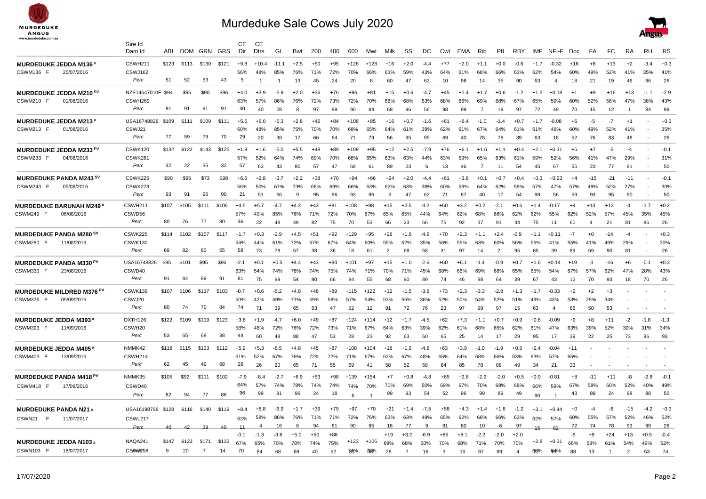

## Murdeduke Sale Cows July 2020



|                                             | Sire Id<br>Dam Id  | ABI   | <b>DOM</b> |       | GRN GRS | CЕ<br>Dir | CЕ<br><b>Dtrs</b> | GL      | Bwt    | 200   | 400   | 600    | Mwt    | Milk           | SS             | DC     | Cwt   | EMA    | Rib            | P8             | <b>RBY</b>              | IMF    | NFI-F          | Doc   | FA             | FC    | RA             | RH     | RS     |
|---------------------------------------------|--------------------|-------|------------|-------|---------|-----------|-------------------|---------|--------|-------|-------|--------|--------|----------------|----------------|--------|-------|--------|----------------|----------------|-------------------------|--------|----------------|-------|----------------|-------|----------------|--------|--------|
| <b>MURDEDUKE JEDDA M136*</b>                | CSWH211            | \$123 | \$113      | \$130 | \$121   | $+9.8$    | $+10.4$           | $-11.1$ | $+2.5$ | +50   | $+95$ | $+128$ | $+128$ | $+16$          | $+2.0$         | $-4.4$ | $+77$ | $+2.0$ | $+1.1$         | $+0.0$         | $-0.6$                  | $+1.7$ | $-0.32$        | $+16$ | $+8$           | $+13$ | $+2$           | $-3.4$ | $+0.3$ |
| CSWM136 F<br>25/07/2016                     | CSWJ162            |       |            |       |         | 56%       | 48%               | 85%     | 76%    | 71%   | 72%   | 70%    | 66%    | 63%            | 59%            | 43%    | 64%   | 61%    | 68%            | 66%            | 63%                     | 62%    | 54%            | 60%   | 49%            | 52%   | 41%            | 35%    | 41%    |
|                                             | Perc               | 51    | 52         | 53    | 43      | 5         | $\mathbf{1}$      | -1      | 13     | 45    | 24    | 20     | 8      | 60             | 47             | 62     | 10    | 98     | 14             | 35             | 90                      | 63     | $\overline{4}$ | 18    | 21             | 19    | 46             | 96     | 26     |
| MURDEDUKE JEDDA M210 SV                     | NZE14647010F \$94  |       | \$95       | \$90  | \$96    | $+4.0$    | $+3.9$            | $-5.9$  | $+2.0$ | $+36$ | $+76$ | $+96$  | $+81$  | $+15$          | $+0.6$         | $-4.7$ | $+45$ | $+1.4$ | $+1.7$         | $+0.6$         | $-1.2$                  | $+1.5$ | $+0.18$        | $+1$  | $+9$           | $+16$ | $+13$          | $-1.1$ | $-2.9$ |
| CSWM210 F<br>01/08/2016                     | CSWH269            |       |            |       |         | 63%       | 57%               | 86%     | 76%    | 72%   | 73%   | 72%    | 70%    | 68%            | 68%            | 53%    | 68%   | 66%    | 69%            | 68%            | 67%                     | 65%    | 59%            | 60%   | 52%            | 56%   | 47%            | 38%    | 43%    |
|                                             | Perc               | 91    | 91         | 91    | 91      | 40        | 40                | 28      | 8      | 97    | 89    | 90     | 84     | 68             | 96             | 56     | 98    | 99     | $\overline{7}$ | 19             | 97                      | 72     | 49             | 70    | 15             | 12    | -1             | 84     | 99     |
| <b>MURDEDUKE JEDDA M213#</b>                | USA16748826        | \$109 | \$111      | \$109 | \$111   | $+5.5$    | $+6.0$            | $-5.3$  | $+2.8$ | $+46$ | $+84$ | $+108$ | $+85$  | $+16$          | $+0.7$         | $-1.6$ | $+61$ | $+6.4$ | $-1.0$         | $-1.4$         | $+0.7$                  | $+1.7$ | $-0.08$        | $+6$  | -5             | $-7$  | $+1$           |        | $+0.3$ |
| CSWM213 F<br>01/08/2016                     | CSWJ21             |       |            |       |         | 60%       | 48%               | 85%     | 75%    | 70%   | 70%   | 68%    | 65%    | 64%            | 61%            | 39%    | 62%   | 61%    | 67%            | 64%            | 61%                     | 61%    | 46%            | 60%   | 49%            | 52%   | 41%            |        | 35%    |
|                                             | Perc               | 77    | 59         | 79    | 70      | 29        | 20                | 38      | 17     | 66    | 64    | 71     | 79     | 56             | 95             | 95     | 69    | 40     | 78             | 78             | 39                      | 63     | 18             | 52    | 76             | 83    | 48             |        | 26     |
| MURDEDUKE JEDDA M233 PV                     | CSWK120            | \$132 | \$122      | \$143 | \$125   | $+1.8$    | $+1.6$            | $-5.0$  | $+5.5$ | $+48$ | $+89$ | $+109$ | $+95$  | $+12$          | $+2.5$         | $-7.9$ | $+76$ | $+6.1$ | $+1.6$         | $+1.1$         | $+0.4$                  | $+2.1$ | +0.31          | $+5$  | $+7$           | -5    | $-4$           |        | $-0.1$ |
| CSWM233 F<br>04/08/2016                     | CSWK261            |       |            |       |         | 57%       | 52%               | 64%     | 74%    | 69%   | 70%   | 68%    | 65%    | 63%            | 63%            | 44%    | 63%   | 59%    | 65%            | 63%            | 61%                     | 59%    | 52%            | 56%   | 41%            | 47%   | 29%            |        | 31%    |
|                                             | Perc               | 32    | 22         | 35    | 32      | 57        | 63                | 43      | 80     | 57    | 47    | 68     | 61     | 89             | 23             | 6      | 13    | 46     | $\overline{7}$ | 11             | 54                      | 45     | 67             | 55    | 23             | 77    | 81             |        | 50     |
| MURDEDUKE PANDA M243 SV                     | CSWK225            | \$90  | \$95       | \$73  | \$98    | $+6.6$    | $+2.8$            | $-3.7$  | $+2.2$ | $+38$ | $+70$ | $+94$  | $+66$  | $+24$          | $+2.0$         | $-4.4$ | $+61$ | $+3.8$ | $+0.1$         | $+0.7$         | $+0.4$                  | $+0.3$ | $+0.23$        | $+4$  | $-15$          | $-21$ | $-11$          |        | $-0.1$ |
| CSWM243 F<br>05/08/2016                     | CSWK278            |       |            |       |         | 56%       | 50%               | 67%     | 73%    | 68%   | 69%   | 66%    | 63%    | 62%            | 63%            | 38%    | 60%   | 58%    | 64%            | 62%            | 59%                     | 57%    | 47%            | 57%   | 49%            | 52%   | 27%            |        | 30%    |
|                                             | Perc               | 93    | 91         | 96    | 90      | 21        | 51                | 66      | 9      | 95    | 96    | 93     | 96     | 6              | 47             | 62     | 71    | 87     | 40             | 17             | 54                      | 98     | 56             | 59    | 93             | 95    | 90             |        | 50     |
| <b>MURDEDUKE BARUNAH M249*</b>              | CSWH211            | \$107 | \$105      | \$111 | \$106   | $+4.5$    | $+5.7$            | $-4.7$  | $+4.2$ | $+43$ | $+81$ | $+108$ | $+98$  | $+15$          | $+2.5$         | $-4.2$ | $+60$ | $+3.2$ | $+0.2$         | $-2.1$         | $+0.6$                  | $+1.4$ | $-0.17$        | $+4$  | $+13$          | $+12$ | $-4$           | $-1.7$ | $+0.2$ |
| CSWM249 F<br>06/08/2016                     | CSWD56             |       |            |       |         | 57%       | 49%               | 85%     | 76%    | 71%   | 72%   | 70%    | 67%    | 65%            | 65%            | 44%    | 64%   | 62%    | 68%            | 66%            | 62%                     | 62%    | 55%            | 62%   | 52%            | 57%   | 45%            | 35%    | 45%    |
|                                             | Perc               | 80    | 76         | 77    | 80      | 36        | 22                | 48      | 49     | 82    | 75    | 70     | 53     | 66             | 23             | 66     | 75    | 92     | 37             | 91             | 44                      | 75     | 11             | 60    | $\overline{4}$ | 21    | 81             | 86     | 26     |
| MURDEDUKE PANDA M280 <sup>sv</sup>          | CSWK225            | \$114 | \$102      | \$107 | \$117   | $+17$     | $+0.3$            | $-2.9$  | $+4.5$ | $+51$ | $+92$ | $+129$ | $+95$  | $+26$          | $+1.6$         | $-4.6$ | $+70$ | $+2.3$ | $+1.1$         | $+2.4$         | $-0.9$                  | $+1.1$ | $+0.11$        | $-7$  | $+0$           | $-14$ | $-4$           |        | $+0.3$ |
| CSWM280 F<br>11/08/2016                     | CSWK130            |       |            |       |         | 54%       | 44%               | 61%     | 72%    | 67%   | 67%   | 64%    | 60%    | 55%            | 52%            | 35%    | 56%   | 55%    | 63%            | 60%            | 56%                     | 56%    | 41%            | 55%   | 41%            | 49%   | 29%            |        | 30%    |
|                                             | Perc               | 69    | 82         | 80    | 55      | 58        | 73                | 78      | 57     | 38    | 36    | 18     | 61     | $\overline{2}$ | 68             | 58     | 31    | 97     | 14             | $\overline{2}$ | 95                      | 85     | 39             | 89    | 59             | 90    | 81             |        | 26     |
| MURDEDUKE PANDA M330 <sup>PV</sup>          | USA16748826        | \$95  | \$101      | \$95  | \$96    | $-2.1$    | $+0.1$            | $+0.5$  | $+4.4$ | $+43$ | $+84$ | $+101$ | $+97$  | $+15$          | $+1.0$         | $-2.6$ | $+60$ | $+6.1$ | $-1.4$         | $-0.9$         | $+0.7$                  | $+1.6$ | $+0.14$        | $+19$ | $-3$           | $-16$ | $+6$           | $-0.1$ | $+0.3$ |
| CSWM330 F<br>23/08/2016                     | CSWD40             |       |            |       |         | 63%       | 54%               | 74%     | 78%    | 74%   | 75%   | 74%    | 71%    | 70%            | 71%            | 45%    | 68%   | 66%    | 69%            | 68%            | 65%                     | 65%    | 54%            | 67%   | 57%            | 62%   | 47%            | 28%    | 43%    |
|                                             | Perc               | 91    | 84         | 89    | 91      | 81        | 75                | 99      | 54     | 80    | 66    | 84     | 55     | 68             | 90             | 89     | 74    | 46     | 88             | 64             | 39                      | 67     | 43             | 12    | 70             | 93    | 18             | 70     | 26     |
| <b>MURDEDUKE MILDRED M376 <sup>PV</sup></b> | CSWK139            | \$107 | \$106      | \$117 | \$103   | $-0.7$    | $+0.6$            | $-5.2$  | $+4.8$ | $+48$ | +89   | $+115$ | +122   | $+12$          | $+1.5$         | $-3.6$ | $+73$ | $+2.3$ | $-3.3$         | $-2.8$         | $+1.3$                  | $+1.7$ | $-0.33$        | $+2$  | $+2$           | $+3$  |                |        |        |
| CSWM376 F<br>05/09/2016                     | CSWJ20             |       |            |       |         | 50%       | 42%               | 49%     | 71%    | 59%   | 58%   | 57%    | 54%    | 53%            | 55%            | 36%    | 52%   | 50%    | 54%            | 52%            | 51%                     | 49%    | 43%            | 53%   | 25%            | 34%   |                |        |        |
|                                             | Perc               | 80    | 74         | 70    | 84      | 74        | 71                | 39      | 65     | 53    | 47    | 52     | 12     | 91             | 72             | 76     | 23    | 97     | 99             | 97             | 15                      | 63     | $\overline{4}$ | 66    | 50             | 53    |                |        |        |
| MURDEDUKE JEDDA M393 '                      | DXTH126            | \$122 | \$109      | \$119 | \$123   | $+3.6$    | $+1.9$            | $-4.7$  | $+6.0$ | $+49$ | $+87$ | $+124$ | $+114$ | $+12$          | $+1.7$         | $-4.5$ | $+62$ | $+7.3$ | $+1.1$         | $+0.7$         | $+0.9$                  | +0.6   | $-0.09$        | $+9$  | $+8$           | $+11$ | $-2$           | $-1.8$ | $-1.3$ |
| CSWM393 F<br>11/09/2016                     | CSWH <sub>20</sub> |       |            |       |         | 58%       | 48%               | 72%     | 76%    | 72%   | 73%   | 71%    | 67%    | 64%            | 63%            | 39%    | 62%   | 61%    | 68%            | 65%            | 62%                     | 61%    | 47%            | 63%   | 39%            | 52%   | 30%            | 31%    | 34%    |
|                                             | Perc               | 53    | 65         | 68    | 38      | 44        | 60                | 48      | 88     | 47    | 53    | 28     | 23     | 92             | 63             | 60     | 65    | 25     | 14             | 17             | 29                      | 95     | 17             | 39    | 22             | 25    | 73             | 86     | 93     |
| <b>MURDEDUKE JEDDA M405†</b>                | NMMK42             | \$118 | \$115      | \$133 | \$112   | $+5.9$    | $+5.3$            | $-6.5$  | $+4.8$ | $+45$ | $+87$ | $+108$ | $+104$ | $+16$          | $+1.9$         | $-4.6$ | $+63$ | $+3.9$ | $-1.0$         | $-1.9$         | $+0.5$                  | $+2.4$ | $-0.04$        | $+11$ |                |       |                |        |        |
| CSWM405 F<br>13/09/2016                     | CSWH214            |       |            |       |         | 61%       | 52%               | 67%     | 76%    | 72%   | 72%   | 71%    | 67%    | 63%            | 67%            | 48%    | 65%   | 64%    | 68%            | 66%            | 63%                     | 63%    | 57%            | 65%   |                |       |                |        |        |
|                                             | Perc               | 62    | 45         | 49    | 68      | 26        | 26                | 20      | 65     | 71    | 55    | 69     | 41     | 58             | 52             | 58     | 64    | 85     | 78             | 88             | 49                      | 34     | 21             | 33    |                |       |                |        |        |
| MURDEDUKE PANDA M418 <sup>PV</sup>          | NMMK35             | \$105 | \$92       | \$111 | \$102   | $-7.9$    | $-8.4$            | $-2.7$  | $+6.9$ | $+53$ | $+98$ | $+139$ | $+154$ | +7             | $+0.8$         | -4.8   | $+65$ | $+2.6$ | $-2.9$         | $-2.0$         | $+0.5$                  | $+0.9$ | $-0.81$        | $+8$  | $-11$          | $+11$ | -8             | $-2.8$ | $-0.1$ |
| CSWM418 F<br>17/09/2016                     | CSWD40             |       |            |       |         | 64%       | 57%               | 74%     | 78%    | 74%   | 74%   | 74%    | 70%    | 70%            | 69%            | 50%    | 69%   | 67%    | 70%            | 68%            | 68%                     | 66%    | 59%            | 67%   | 58%            | 60%   | 52%            | 40%    | 49%    |
|                                             | Perc               | 82    | 94         | 77    | 86      | 96        | 99                | 81      | 96     | 24    | 18    | 6      | 1      | 99             | 93             | 54     | 52    | 96     | 99             | 89             | 49                      | 90     |                | 43    | 89             | 24    | 88             | 88     | 50     |
| <b>MURDEDUKE PANDA N21#</b>                 | USA16198796        | \$128 | \$116      | \$140 | \$119   | $+8.4$    | +8.8              | $-6.9$  |        | $+39$ | $+79$ | +97    | $+70$  | +21            |                | $-7.5$ | +58   | +4.3   | $+1.4$         | $+1.6$         | $-1.2$                  | $+3.1$ | $+0.44$        | $+0$  | $-4$           | -6    | $-15$          | $-4.2$ | $+0.3$ |
| CSWN21<br>F<br>11/07/2017                   | CSWL217            |       |            |       |         | 63%       | 58%               | 86%     | 76%    | 71%   | 71%   | 72%    | 76%    | 63%            | 63%            | 49%    | 65%   | 62%    | 68%            | 66%            | 63%                     | 62%    | 57%            | 60%   | 55%            | 57%   | 52%            | 46%    | 52%    |
|                                             | Perc               | 40    | 42         | 39    | 49      | 11        |                   | 16      |        | 94    | 81    | 90     | 95     | 18             | 77             |        | 81    | 80     | 10             | 6              | 97                      |        | R <sub>2</sub> | 72    | 74             | 78    | 93             | 99     | 26     |
|                                             |                    |       |            |       |         | $-0.1$    | $-1.3$            | $-3.6$  | $+5.0$ | $+50$ | $+88$ |        |        | $+19$          | $+3.2$         | -6.9   | +85   | $+8.1$ | $-2.2$         | $-2.0$         | $+2.0$                  | $15 -$ |                | -6    | $+9$           | $+24$ | $+13$          | $+0.5$ | $-0.4$ |
| <b>MURDEDUKE JEDDA N103</b>                 | NAQA241            | \$147 | \$123      | \$171 | \$133   | 67%       | 65%               | 70%     | 78%    | 74%   | 75%   | +123   | $+106$ | 69%            | 68%            | 60%    | 70%   | 68%    | 71%            | 70%            | 70%                     | $+2.8$ | $+0.31$        | 66%   | 58%            | 61%   | 54%            | 49%    | 52%    |
| CSWN103 F<br>18/07/2017                     | CSRele258          | 9     | 20         |       | 14      | 70        | 84                | 68      | 69     | 40    | 52    | 734%   | 736%   | 28             | $\overline{7}$ | 16     | 3     | 16     | 97             | 89             | $\overline{\mathbf{A}}$ | 68%    | 64%            | 88    | 13             |       | $\overline{2}$ | 53     | 74     |
|                                             |                    |       |            |       |         |           |                   |         |        |       |       |        |        |                |                |        |       |        |                |                |                         |        |                |       |                |       |                |        |        |